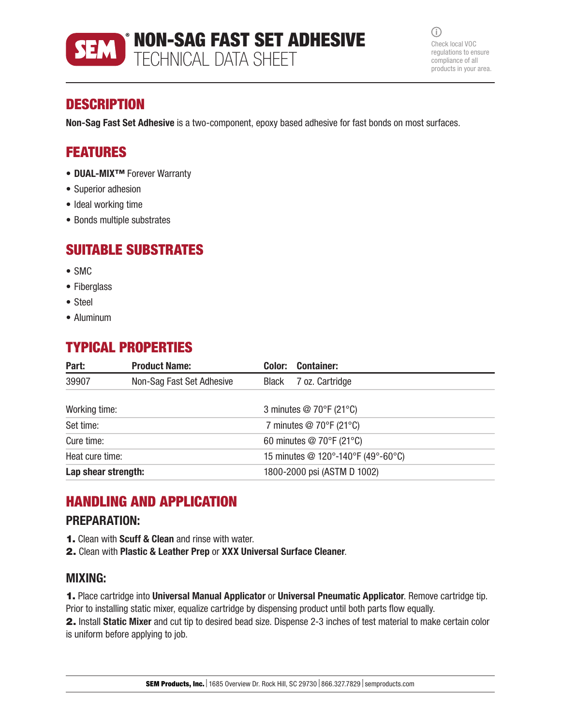

 $\bigcirc$ Check local VOC regulations to ensure compliance of all products in your area.

## **DESCRIPTION**

Non-Sag Fast Set Adhesive is a two-component, epoxy based adhesive for fast bonds on most surfaces.

## FEATURES

- DUAL-MIX™ Forever Warranty
- Superior adhesion
- Ideal working time
- Bonds multiple substrates

## SUITABLE SUBSTRATES

- SMC
- Fiberglass
- Steel
- Aluminum

# TYPICAL PROPERTIES

| Part:               | <b>Product Name:</b>      | Color: | <b>Container:</b>                             |  |  |
|---------------------|---------------------------|--------|-----------------------------------------------|--|--|
| 39907               | Non-Sag Fast Set Adhesive | Black  | 7 oz. Cartridge                               |  |  |
| Working time:       |                           |        | 3 minutes $@$ 70 $\degree$ F (21 $\degree$ C) |  |  |
| Set time:           |                           |        | 7 minutes @ 70°F (21°C)                       |  |  |
| Cure time:          |                           |        | 60 minutes @ 70°F (21°C)                      |  |  |
| Heat cure time:     |                           |        | 15 minutes @ 120°-140°F (49°-60°C)            |  |  |
| Lap shear strength: |                           |        | 1800-2000 psi (ASTM D 1002)                   |  |  |

## HANDLING AND APPLICATION

### PREPARATION:

- **1.** Clean with **Scuff & Clean** and rinse with water.
- 2. Clean with Plastic & Leather Prep or XXX Universal Surface Cleaner.

### MIXING:

1. Place cartridge into Universal Manual Applicator or Universal Pneumatic Applicator. Remove cartridge tip. Prior to installing static mixer, equalize cartridge by dispensing product until both parts flow equally.

2. Install Static Mixer and cut tip to desired bead size. Dispense 2-3 inches of test material to make certain color is uniform before applying to job.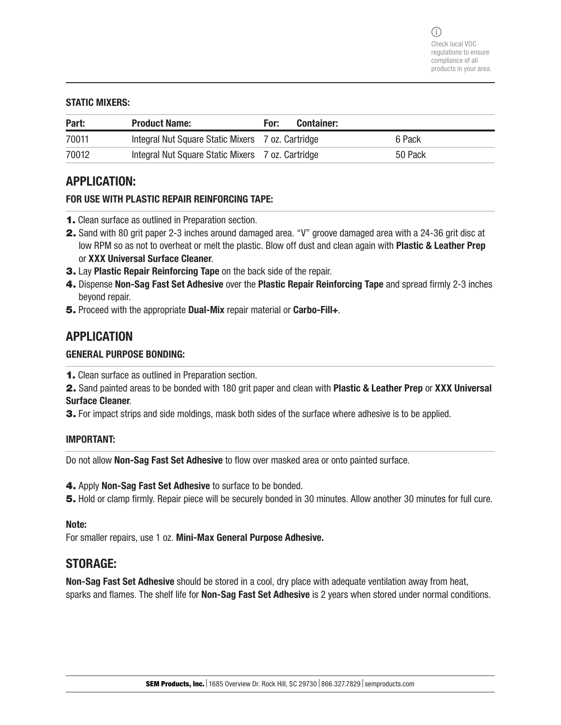#### STATIC MIXERS:

| Part: | <b>Product Name:</b>                              | For: | <b>Container:</b> |         |
|-------|---------------------------------------------------|------|-------------------|---------|
| 70011 | Integral Nut Square Static Mixers 7 oz. Cartridge |      |                   | 6 Pack  |
| 70012 | Integral Nut Square Static Mixers 7 oz. Cartridge |      |                   | 50 Pack |

### APPLICATION:

#### FOR USE WITH PLASTIC REPAIR REINFORCING TAPE:

- 1. Clean surface as outlined in Preparation section.
- 2. Sand with 80 grit paper 2-3 inches around damaged area. "V" groove damaged area with a 24-36 grit disc at low RPM so as not to overheat or melt the plastic. Blow off dust and clean again with **Plastic & Leather Prep** or XXX Universal Surface Cleaner.
- 3. Lay Plastic Repair Reinforcing Tape on the back side of the repair.
- 4. Dispense Non-Sag Fast Set Adhesive over the Plastic Repair Reinforcing Tape and spread firmly 2-3 inches beyond repair.
- 5. Proceed with the appropriate Dual-Mix repair material or Carbo-Fill+.

### APPLICATION

### GENERAL PURPOSE BONDING:

- 1. Clean surface as outlined in Preparation section.
- 2. Sand painted areas to be bonded with 180 grit paper and clean with Plastic & Leather Prep or XXX Universal Surface Cleaner.
- **3.** For impact strips and side moldings, mask both sides of the surface where adhesive is to be applied.

#### IMPORTANT:

Do not allow Non-Sag Fast Set Adhesive to flow over masked area or onto painted surface.

4. Apply Non-Sag Fast Set Adhesive to surface to be bonded.

5. Hold or clamp firmly. Repair piece will be securely bonded in 30 minutes. Allow another 30 minutes for full cure.

#### Note:

For smaller repairs, use 1 oz. Mini-Max General Purpose Adhesive.

### STORAGE:

Non-Sag Fast Set Adhesive should be stored in a cool, dry place with adequate ventilation away from heat, sparks and flames. The shelf life for **Non-Sag Fast Set Adhesive** is 2 years when stored under normal conditions.